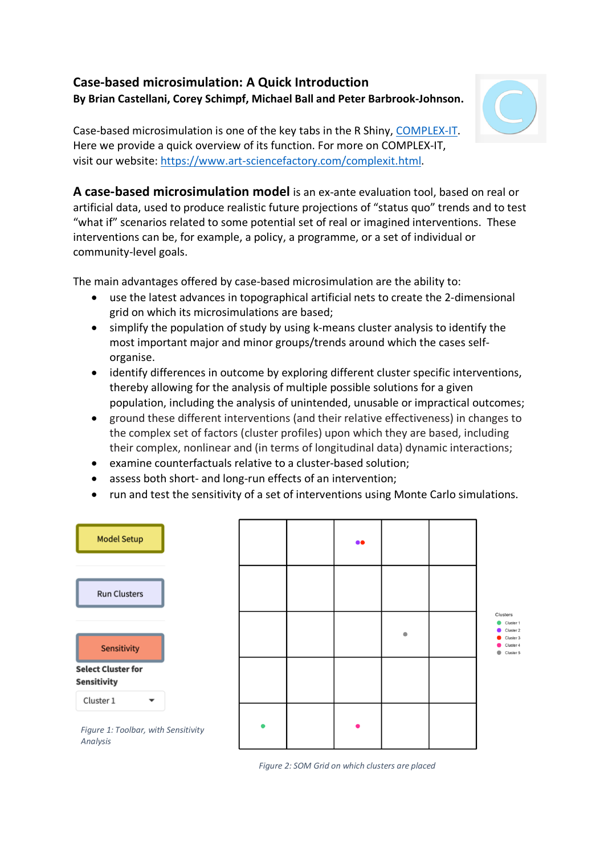## **Case-based microsimulation: A Quick Introduction By Brian Castellani, Corey Schimpf, Michael Ball and Peter Barbrook-Johnson.**



Case-based microsimulation is one of the key tabs in the R Shiny, COMPLEX-IT. Here we provide a quick overview of its function. For more on COMPLEX-IT, visit our website: https://www.art-sciencefactory.com/complexit.html.

**A case-based microsimulation model** is an ex-ante evaluation tool, based on real or artificial data, used to produce realistic future projections of "status quo" trends and to test "what if" scenarios related to some potential set of real or imagined interventions. These interventions can be, for example, a policy, a programme, or a set of individual or community-level goals.

The main advantages offered by case-based microsimulation are the ability to:

- use the latest advances in topographical artificial nets to create the 2-dimensional grid on which its microsimulations are based;
- simplify the population of study by using k-means cluster analysis to identify the most important major and minor groups/trends around which the cases selforganise.
- identify differences in outcome by exploring different cluster specific interventions, thereby allowing for the analysis of multiple possible solutions for a given population, including the analysis of unintended, unusable or impractical outcomes;
- ground these different interventions (and their relative effectiveness) in changes to the complex set of factors (cluster profiles) upon which they are based, including their complex, nonlinear and (in terms of longitudinal data) dynamic interactions;
- examine counterfactuals relative to a cluster-based solution;
- assess both short- and long-run effects of an intervention;
- run and test the sensitivity of a set of interventions using Monte Carlo simulations.



*Figure 2: SOM Grid on which clusters are placed*